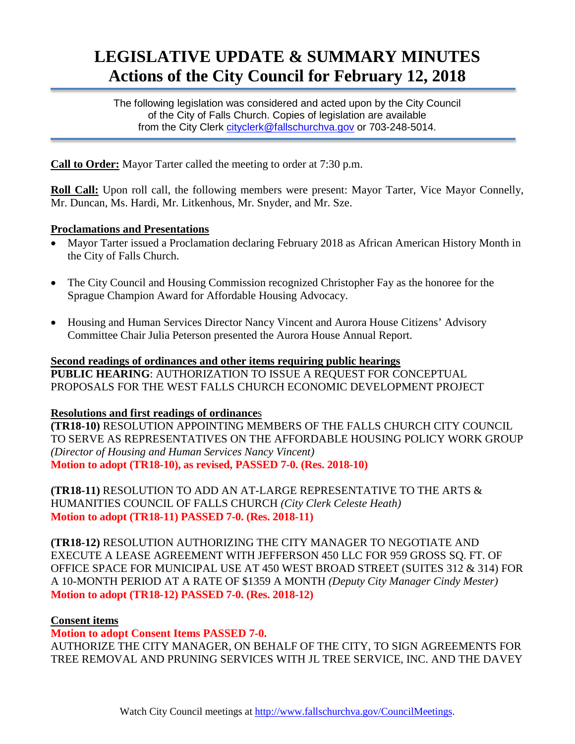# **LEGISLATIVE UPDATE & SUMMARY MINUTES Actions of the City Council for February 12, 2018**

The following legislation was considered and acted upon by the City Council of the City of Falls Church. Copies of legislation are available from the City Clerk cityclerk@fallschurchya.gov or 703-248-5014.

**Call to Order:** Mayor Tarter called the meeting to order at 7:30 p.m.

**Roll Call:** Upon roll call, the following members were present: Mayor Tarter, Vice Mayor Connelly, Mr. Duncan, Ms. Hardi, Mr. Litkenhous, Mr. Snyder, and Mr. Sze.

## **Proclamations and Presentations**

- Mayor Tarter issued a Proclamation declaring February 2018 as African American History Month in the City of Falls Church.
- The City Council and Housing Commission recognized Christopher Fay as the honoree for the Sprague Champion Award for Affordable Housing Advocacy.
- Housing and Human Services Director Nancy Vincent and Aurora House Citizens' Advisory Committee Chair Julia Peterson presented the Aurora House Annual Report.

**Second readings of ordinances and other items requiring public hearings PUBLIC HEARING**: AUTHORIZATION TO ISSUE A REQUEST FOR CONCEPTUAL PROPOSALS FOR THE WEST FALLS CHURCH ECONOMIC DEVELOPMENT PROJECT

### **Resolutions and first readings of ordinance**s

**(TR18-10)** RESOLUTION APPOINTING MEMBERS OF THE FALLS CHURCH CITY COUNCIL TO SERVE AS REPRESENTATIVES ON THE AFFORDABLE HOUSING POLICY WORK GROUP *(Director of Housing and Human Services Nancy Vincent)* **Motion to adopt (TR18-10), as revised, PASSED 7-0. (Res. 2018-10)**

**(TR18-11)** RESOLUTION TO ADD AN AT-LARGE REPRESENTATIVE TO THE ARTS & HUMANITIES COUNCIL OF FALLS CHURCH *(City Clerk Celeste Heath)* **Motion to adopt (TR18-11) PASSED 7-0. (Res. 2018-11)**

**(TR18-12)** RESOLUTION AUTHORIZING THE CITY MANAGER TO NEGOTIATE AND EXECUTE A LEASE AGREEMENT WITH JEFFERSON 450 LLC FOR 959 GROSS SQ. FT. OF OFFICE SPACE FOR MUNICIPAL USE AT 450 WEST BROAD STREET (SUITES 312 & 314) FOR A 10-MONTH PERIOD AT A RATE OF \$1359 A MONTH *(Deputy City Manager Cindy Mester)* **Motion to adopt (TR18-12) PASSED 7-0. (Res. 2018-12)**

### **Consent items**

**Motion to adopt Consent Items PASSED 7-0.**

AUTHORIZE THE CITY MANAGER, ON BEHALF OF THE CITY, TO SIGN AGREEMENTS FOR TREE REMOVAL AND PRUNING SERVICES WITH JL TREE SERVICE, INC. AND THE DAVEY